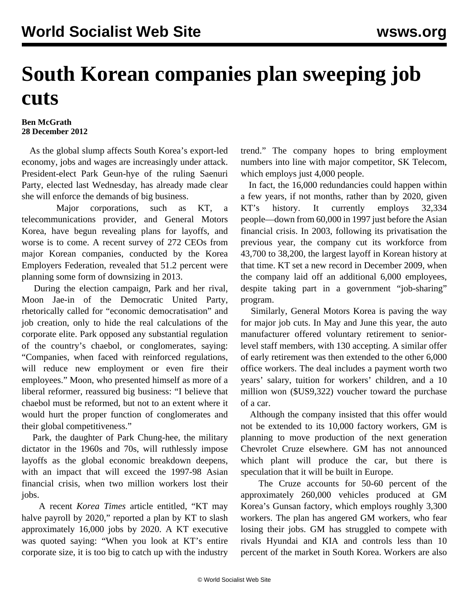## **South Korean companies plan sweeping job cuts**

## **Ben McGrath 28 December 2012**

 As the global slump affects South Korea's export-led economy, jobs and wages are increasingly under attack. President-elect Park Geun-hye of the ruling Saenuri Party, elected last Wednesday, has already made clear she will enforce the demands of big business.

 Major corporations, such as KT, a telecommunications provider, and General Motors Korea, have begun revealing plans for layoffs, and worse is to come. A recent survey of 272 CEOs from major Korean companies, conducted by the Korea Employers Federation, revealed that 51.2 percent were planning some form of downsizing in 2013.

 During the election campaign, Park and her rival, Moon Jae-in of the Democratic United Party, rhetorically called for "economic democratisation" and job creation, only to hide the real calculations of the corporate elite. Park opposed any substantial regulation of the country's chaebol, or conglomerates, saying: "Companies, when faced with reinforced regulations, will reduce new employment or even fire their employees." Moon, who presented himself as more of a liberal reformer, reassured big business: "I believe that chaebol must be reformed, but not to an extent where it would hurt the proper function of conglomerates and their global competitiveness."

 Park, the daughter of Park Chung-hee, the military dictator in the 1960s and 70s, will ruthlessly impose layoffs as the global economic breakdown deepens, with an impact that will exceed the 1997-98 Asian financial crisis, when two million workers lost their jobs.

 A recent *Korea Times* article entitled, "KT may halve payroll by 2020," reported a plan by KT to slash approximately 16,000 jobs by 2020. A KT executive was quoted saying: "When you look at KT's entire corporate size, it is too big to catch up with the industry trend." The company hopes to bring employment numbers into line with major competitor, SK Telecom, which employs just 4,000 people.

 In fact, the 16,000 redundancies could happen within a few years, if not months, rather than by 2020, given KT's history. It currently employs 32,334 people—down from 60,000 in 1997 just before the Asian financial crisis. In 2003, following its privatisation the previous year, the company cut its workforce from 43,700 to 38,200, the largest layoff in Korean history at that time. KT set a new record in December 2009, when the company laid off an additional 6,000 employees, despite taking part in a government "job-sharing" program.

 Similarly, General Motors Korea is paving the way for major job cuts. In May and June this year, the auto manufacturer offered voluntary retirement to seniorlevel staff members, with 130 accepting. A similar offer of early retirement was then extended to the other 6,000 office workers. The deal includes a payment worth two years' salary, tuition for workers' children, and a 10 million won (\$US9,322) voucher toward the purchase of a car.

 Although the company insisted that this offer would not be extended to its 10,000 factory workers, GM is planning to move production of the next generation Chevrolet Cruze elsewhere. GM has not announced which plant will produce the car, but there is speculation that it will be built in Europe.

 The Cruze accounts for 50-60 percent of the approximately 260,000 vehicles produced at GM Korea's Gunsan factory, which employs roughly 3,300 workers. The plan has angered GM workers, who fear losing their jobs. GM has struggled to compete with rivals Hyundai and KIA and controls less than 10 percent of the market in South Korea. Workers are also